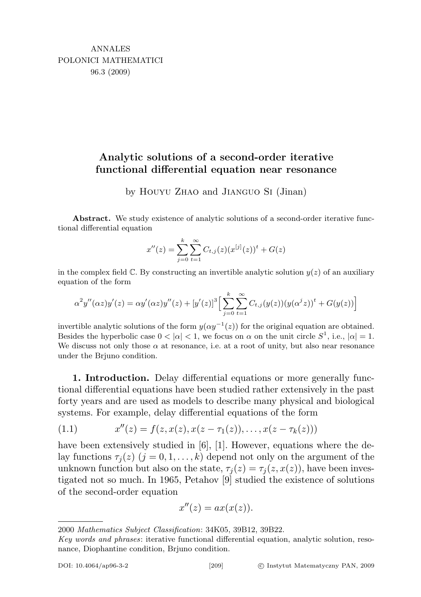## Analytic solutions of a second-order iterative functional differential equation near resonance

by Houyu Zhao and Jianguo Si (Jinan)

Abstract. We study existence of analytic solutions of a second-order iterative functional differential equation

$$
x''(z) = \sum_{j=0}^{k} \sum_{t=1}^{\infty} C_{t,j}(z) (x^{[j]}(z))^{t} + G(z)
$$

in the complex field  $\mathbb{C}$ . By constructing an invertible analytic solution  $y(z)$  of an auxiliary equation of the form

$$
\alpha^2 y''(\alpha z) y'(z) = \alpha y'(\alpha z) y''(z) + [y'(z)]^3 \Big[ \sum_{j=0}^k \sum_{t=1}^\infty C_{t,j}(y(z)) (y(\alpha^j z))^t + G(y(z)) \Big]
$$

invertible analytic solutions of the form  $y(\alpha y^{-1}(z))$  for the original equation are obtained. Besides the hyperbolic case  $0 < |\alpha| < 1$ , we focus on  $\alpha$  on the unit circle  $S^1$ , i.e.,  $|\alpha| = 1$ . We discuss not only those  $\alpha$  at resonance, i.e. at a root of unity, but also near resonance under the Brjuno condition.

1. Introduction. Delay differential equations or more generally functional differential equations have been studied rather extensively in the past forty years and are used as models to describe many physical and biological systems. For example, delay differential equations of the form

(1.1) 
$$
x''(z) = f(z, x(z), x(z - \tau_1(z)), \dots, x(z - \tau_k(z)))
$$

have been extensively studied in  $[6]$ , [1]. However, equations where the delay functions  $\tau_i(z)$   $(j = 0, 1, \ldots, k)$  depend not only on the argument of the unknown function but also on the state,  $\tau_i(z) = \tau_i(z, x(z))$ , have been investigated not so much. In 1965, Petahov [9] studied the existence of solutions of the second-order equation

$$
x''(z) = ax(x(z)).
$$

<sup>2000</sup> Mathematics Subject Classification: 34K05, 39B12, 39B22.

Key words and phrases: iterative functional differential equation, analytic solution, resonance, Diophantine condition, Brjuno condition.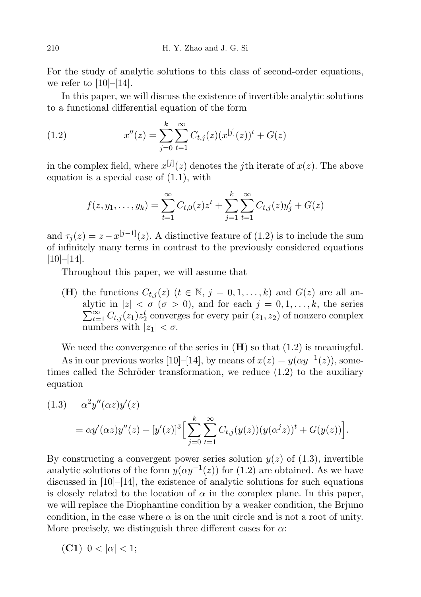For the study of analytic solutions to this class of second-order equations, we refer to  $[10]-[14]$ .

In this paper, we will discuss the existence of invertible analytic solutions to a functional differential equation of the form

(1.2) 
$$
x''(z) = \sum_{j=0}^{k} \sum_{t=1}^{\infty} C_{t,j}(z) (x^{[j]}(z))^t + G(z)
$$

in the complex field, where  $x^{[j]}(z)$  denotes the jth iterate of  $x(z)$ . The above equation is a special case of (1.1), with

$$
f(z, y_1, \dots, y_k) = \sum_{t=1}^{\infty} C_{t,0}(z) z^t + \sum_{j=1}^{k} \sum_{t=1}^{\infty} C_{t,j}(z) y_j^t + G(z)
$$

and  $\tau_j(z) = z - x^{[j-1]}(z)$ . A distinctive feature of (1.2) is to include the sum of infinitely many terms in contrast to the previously considered equations  $[10]–[14]$ .

Throughout this paper, we will assume that

(H) the functions  $C_{t,j}(z)$   $(t \in \mathbb{N}, j = 0,1,\ldots,k)$  and  $G(z)$  are all an- $\sum_{t=1}^{\infty} C_{t,j}(z_1) z_2^t$  converges for every pair  $(z_1, z_2)$  of nonzero complex alytic in  $|z| < \sigma$  ( $\sigma > 0$ ), and for each  $j = 0, 1, \ldots, k$ , the series numbers with  $|z_1| < \sigma$ .

We need the convergence of the series in  $(H)$  so that  $(1.2)$  is meaningful.

As in our previous works [10]–[14], by means of  $x(z) = y(\alpha y^{-1}(z))$ , sometimes called the Schröder transformation, we reduce  $(1.2)$  to the auxiliary equation

(1.3) 
$$
\alpha^2 y''(\alpha z) y'(z) = \alpha y'(\alpha z) y''(z) + [y'(z)]^3 \Big[ \sum_{j=0}^k \sum_{t=1}^\infty C_{t,j}(y(z)) (y(\alpha^j z))^t + G(y(z)) \Big].
$$

By constructing a convergent power series solution  $y(z)$  of (1.3), invertible analytic solutions of the form  $y(\alpha y^{-1}(z))$  for (1.2) are obtained. As we have discussed in [10]–[14], the existence of analytic solutions for such equations is closely related to the location of  $\alpha$  in the complex plane. In this paper, we will replace the Diophantine condition by a weaker condition, the Brjuno condition, in the case where  $\alpha$  is on the unit circle and is not a root of unity. More precisely, we distinguish three different cases for  $\alpha$ :

(C1)  $0 < |\alpha| < 1$ ;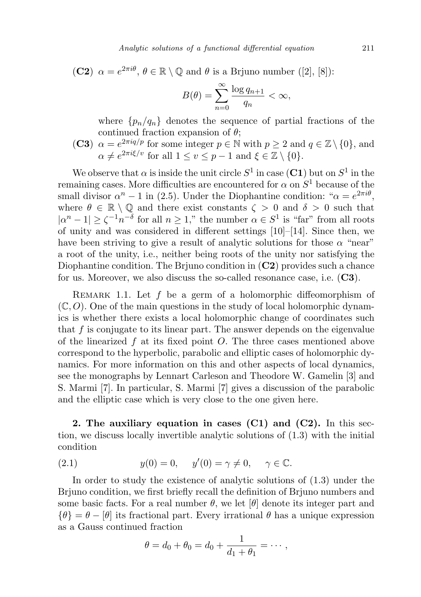**(C2)**  $\alpha = e^{2\pi i \theta}, \theta \in \mathbb{R} \setminus \mathbb{Q}$  and  $\theta$  is a Brjuno number ([2], [8]):

$$
B(\theta) = \sum_{n=0}^{\infty} \frac{\log q_{n+1}}{q_n} < \infty,
$$

where  $\{p_n/q_n\}$  denotes the sequence of partial fractions of the continued fraction expansion of  $\theta$ ;

(C3)  $\alpha = e^{2\pi i q/p}$  for some integer  $p \in \mathbb{N}$  with  $p \ge 2$  and  $q \in \mathbb{Z} \setminus \{0\}$ , and  $\alpha \neq e^{2\pi i \xi/v}$  for all  $1 \le v \le p-1$  and  $\xi \in \mathbb{Z} \setminus \{0\}.$ 

We observe that  $\alpha$  is inside the unit circle  $S^1$  in case  $(C1)$  but on  $S^1$  in the remaining cases. More difficulties are encountered for  $\alpha$  on  $S^1$  because of the small divisor  $\alpha^n - 1$  in (2.5). Under the Diophantine condition: " $\alpha = e^{2\pi i \theta}$ , where  $\theta \in \mathbb{R} \setminus \mathbb{Q}$  and there exist constants  $\zeta > 0$  and  $\delta > 0$  such that  $|\alpha^n - 1| \geq \zeta^{-1} n^{-\delta}$  for all  $n \geq 1$ ," the number  $\alpha \in S^1$  is "far" from all roots of unity and was considered in different settings [10]–[14]. Since then, we have been striving to give a result of analytic solutions for those  $\alpha$  "near" a root of the unity, i.e., neither being roots of the unity nor satisfying the Diophantine condition. The Brjuno condition in  $(C2)$  provides such a chance for us. Moreover, we also discuss the so-called resonance case, i.e.  $(C3)$ .

REMARK 1.1. Let  $f$  be a germ of a holomorphic diffeomorphism of  $(\mathbb{C}, O)$ . One of the main questions in the study of local holomorphic dynamics is whether there exists a local holomorphic change of coordinates such that  $f$  is conjugate to its linear part. The answer depends on the eigenvalue of the linearized  $f$  at its fixed point  $O$ . The three cases mentioned above correspond to the hyperbolic, parabolic and elliptic cases of holomorphic dynamics. For more information on this and other aspects of local dynamics, see the monographs by Lennart Carleson and Theodore W. Gamelin [3] and S. Marmi [7]. In particular, S. Marmi [7] gives a discussion of the parabolic and the elliptic case which is very close to the one given here.

2. The auxiliary equation in cases  $(C1)$  and  $(C2)$ . In this section, we discuss locally invertible analytic solutions of (1.3) with the initial condition

(2.1) 
$$
y(0) = 0, \quad y'(0) = \gamma \neq 0, \quad \gamma \in \mathbb{C}.
$$

In order to study the existence of analytic solutions of (1.3) under the Brjuno condition, we first briefly recall the definition of Brjuno numbers and some basic facts. For a real number  $\theta$ , we let  $[\theta]$  denote its integer part and  $\{\theta\} = \theta - [\theta]$  its fractional part. Every irrational  $\theta$  has a unique expression as a Gauss continued fraction

$$
\theta = d_0 + \theta_0 = d_0 + \frac{1}{d_1 + \theta_1} = \cdots,
$$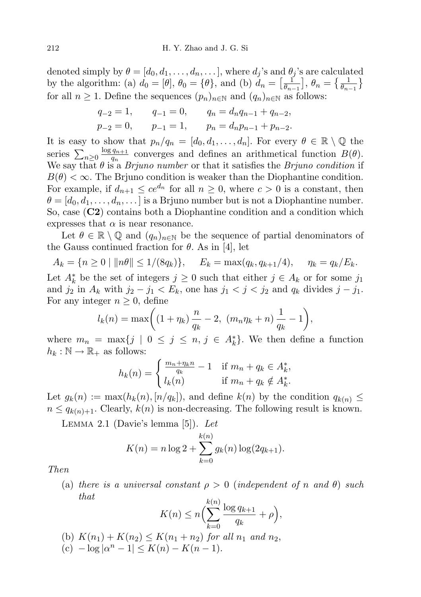denoted simply by  $\theta = [d_0, d_1, \ldots, d_n, \ldots]$ , where  $d_i$ 's and  $\theta_i$ 's are calculated by the algorithm: (a)  $d_0 = [\theta], \theta_0 = \{\theta\},\$  and (b)  $d_n = \left[\frac{1}{\theta_n}\right]$  $\left[\frac{1}{\theta_{n-1}}\right], \theta_n = \left\{\frac{1}{\theta_{n-1}}\right\}$ for all  $n \geq 1$ . Define the sequences  $(p_n)_{n \in \mathbb{N}}$  and  $(q_n)_{n \in \mathbb{N}}$  as follows:

$$
q_{-2} = 1,
$$
  $q_{-1} = 0,$   $q_n = d_n q_{n-1} + q_{n-2},$   
\n $p_{-2} = 0,$   $p_{-1} = 1,$   $p_n = d_n p_{n-1} + p_{n-2}.$ 

It is easy to show that  $p_n/q_n = [d_0, d_1, \ldots, d_n]$ . For every  $\theta \in \mathbb{R} \setminus \mathbb{Q}$  the series  $\sum_{n\geq 0} \frac{\log q_{n+1}}{q_n}$  $\frac{q_{n+1}}{q_n}$  converges and defines an arithmetical function  $B(\theta)$ . We say that  $\theta$  is a *Brjuno number* or that it satisfies the *Brjuno condition* if  $B(\theta) < \infty$ . The Brjuno condition is weaker than the Diophantine condition. For example, if  $d_{n+1} \leq ce^{d_n}$  for all  $n \geq 0$ , where  $c > 0$  is a constant, then  $\theta = [d_0, d_1, \ldots, d_n, \ldots]$  is a Brjuno number but is not a Diophantine number. So, case (C2) contains both a Diophantine condition and a condition which expresses that  $\alpha$  is near resonance.

Let  $\theta \in \mathbb{R} \setminus \mathbb{Q}$  and  $(q_n)_{n \in \mathbb{N}}$  be the sequence of partial denominators of the Gauss continued fraction for  $\theta$ . As in [4], let

$$
A_k = \{n \ge 0 \mid ||n\theta|| \le 1/(8q_k)\},
$$
  $E_k = \max(q_k, q_{k+1}/4),$   $\eta_k = q_k/E_k.$ 

Let  $A_k^*$  be the set of integers  $j \geq 0$  such that either  $j \in A_k$  or for some  $j_1$ and  $j_2$  in  $A_k$  with  $j_2 - j_1 < E_k$ , one has  $j_1 < j < j_2$  and  $q_k$  divides  $j - j_1$ . For any integer  $n \geq 0$ , define

$$
l_k(n) = \max\left( (1 + \eta_k) \frac{n}{q_k} - 2, (m_n \eta_k + n) \frac{1}{q_k} - 1 \right),
$$

where  $m_n = \max\{j \mid 0 \leq j \leq n, j \in A_k^*\}$ . We then define a function  $h_k : \mathbb{N} \to \mathbb{R}_+$  as follows:

$$
h_k(n) = \begin{cases} \frac{m_n + \eta_k n}{q_k} - 1 & \text{if } m_n + q_k \in A_k^*, \\ l_k(n) & \text{if } m_n + q_k \notin A_k^*. \end{cases}
$$

Let  $g_k(n) := \max(h_k(n), [n/q_k])$ , and define  $k(n)$  by the condition  $q_{k(n)} \leq$  $n \leq q_{k(n)+1}$ . Clearly,  $k(n)$  is non-decreasing. The following result is known.

LEMMA 2.1 (Davie's lemma  $[5]$ ). Let

$$
K(n) = n \log 2 + \sum_{k=0}^{k(n)} g_k(n) \log(2q_{k+1}).
$$

Then

(a) there is a universal constant  $\rho > 0$  (independent of n and  $\theta$ ) such that

$$
K(n) \le n \Big( \sum_{k=0}^{k(n)} \frac{\log q_{k+1}}{q_k} + \rho \Big),
$$

- (b)  $K(n_1) + K(n_2) \leq K(n_1 + n_2)$  for all  $n_1$  and  $n_2$ ,
- (c)  $-\log|\alpha^n 1| \le K(n) K(n-1).$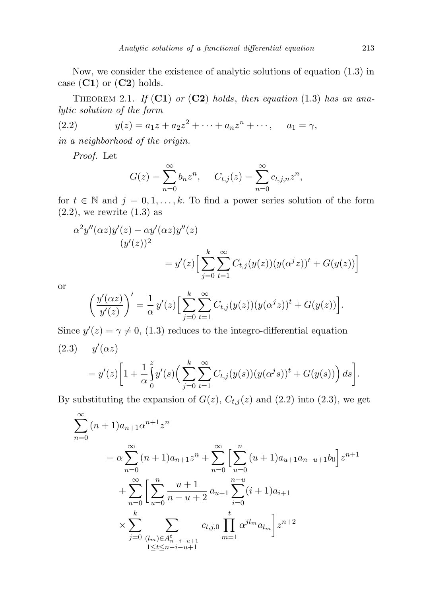Now, we consider the existence of analytic solutions of equation (1.3) in case  $(C1)$  or  $(C2)$  holds.

THEOREM 2.1. If  $(C1)$  or  $(C2)$  holds, then equation (1.3) has an analytic solution of the form

(2.2) 
$$
y(z) = a_1 z + a_2 z^2 + \dots + a_n z^n + \dots, \quad a_1 = \gamma,
$$

in a neighborhood of the origin.

Proof. Let

$$
G(z) = \sum_{n=0}^{\infty} b_n z^n, \quad C_{t,j}(z) = \sum_{n=0}^{\infty} c_{t,j,n} z^n,
$$

for  $t \in \mathbb{N}$  and  $j = 0, 1, \ldots, k$ . To find a power series solution of the form  $(2.2)$ , we rewrite  $(1.3)$  as

$$
\frac{\alpha^2 y''(\alpha z) y'(z) - \alpha y'(\alpha z) y''(z)}{(y'(z))^2}
$$
  
=  $y'(z) \Big[ \sum_{j=0}^k \sum_{t=1}^\infty C_{t,j}(y(z))(y(\alpha^j z))^t + G(y(z)) \Big]$ 

or

$$
\left(\frac{y'(\alpha z)}{y'(z)}\right)' = \frac{1}{\alpha}y'(z)\left[\sum_{j=0}^k\sum_{t=1}^\infty C_{t,j}(y(z))(y(\alpha^j z))^t + G(y(z))\right].
$$

Since  $y'(z) = \gamma \neq 0$ , (1.3) reduces to the integro-differential equation  $(2.3)$   $y'(\alpha z)$ 

$$
= y'(z) \bigg[ 1 + \frac{1}{\alpha} \int_0^z y'(s) \bigg( \sum_{j=0}^k \sum_{t=1}^\infty C_{t,j}(y(s)) (y(\alpha^j s))^t + G(y(s)) \bigg) ds \bigg].
$$

By substituting the expansion of  $G(z)$ ,  $C_{t,j}(z)$  and (2.2) into (2.3), we get

$$
\sum_{n=0}^{\infty} (n+1)a_{n+1}\alpha^{n+1}z^n
$$
\n
$$
= \alpha \sum_{n=0}^{\infty} (n+1)a_{n+1}z^n + \sum_{n=0}^{\infty} \left[ \sum_{u=0}^n (u+1)a_{u+1}a_{n-u+1}b_0 \right] z^{n+1}
$$
\n
$$
+ \sum_{n=0}^{\infty} \left[ \sum_{u=0}^n \frac{u+1}{n-u+2} a_{u+1} \sum_{i=0}^{n-u} (i+1)a_{i+1} \right]
$$
\n
$$
\times \sum_{j=0}^k \sum_{\substack{(l_m) \in A_{n-i-u+1}^t \\ 1 \le t \le n-i-u+1}} c_{t,j,0} \prod_{m=1}^t \alpha^{jl_m} a_{l_m} \bigg] z^{n+2}
$$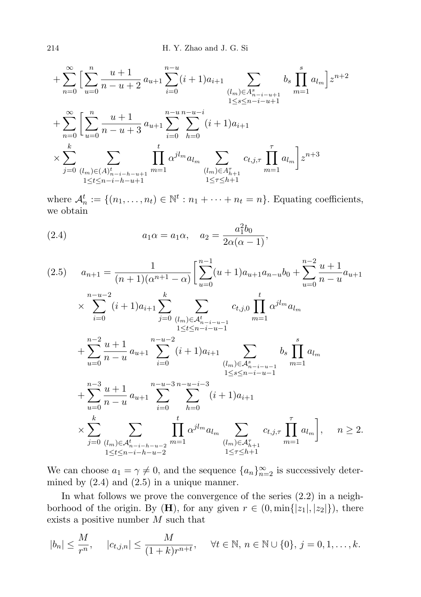$$
+\sum_{n=0}^{\infty} \Big[ \sum_{u=0}^{n} \frac{u+1}{n-u+2} a_{u+1} \sum_{i=0}^{n-u} (i+1) a_{i+1} \sum_{\substack{(l_m) \in A_{n-i-u+1}^s \\ 1 \le s \le n-i-u+1}} b_s \prod_{m=1}^s a_{l_m} \Big] z^{n+2}
$$
  
+
$$
\sum_{n=0}^{\infty} \Big[ \sum_{u=0}^{n} \frac{u+1}{n-u+3} a_{u+1} \sum_{i=0}^{n-u} \sum_{h=0}^{n-u-i} (i+1) a_{i+1}
$$
  

$$
\times \sum_{j=0}^{k} \sum_{\substack{(l_m) \in (A)_{n-i-h-u+1}^s \\ 1 \le t \le n-i-h-u+1}} \prod_{m=1}^t \alpha^{j l_m} a_{l_m} \sum_{\substack{(l_m) \in A_{n+1}^s \\ 1 \le \tau \le h+1}} c_{t,j,\tau} \prod_{m=1}^{\tau} a_{l_m} \Big] z^{n+3}
$$

where  $\mathcal{A}_n^t := \{(n_1, \ldots, n_t) \in \mathbb{N}^t : n_1 + \cdots + n_t = n\}$ . Equating coefficients, we obtain

(2.4) 
$$
a_1 \alpha = a_1 \alpha, \quad a_2 = \frac{a_1^2 b_0}{2\alpha(\alpha - 1)},
$$

$$
(2.5) \t a_{n+1} = \frac{1}{(n+1)(\alpha^{n+1} - \alpha)} \left[ \sum_{u=0}^{n-1} (u+1)a_{u+1}a_{n-u}b_0 + \sum_{u=0}^{n-2} \frac{u+1}{n-u}a_{u+1} \right]
$$
  
\n
$$
\times \sum_{i=0}^{n-u-2} (i+1)a_{i+1} \sum_{j=0}^{k} \sum_{\substack{(l_m) \in \mathcal{A}_{n-i-u-1}^t \atop 1 \le t \le n-i-u-1}} c_{t,j,0} \prod_{m=1}^t \alpha^{j l_m} a_{l_m}
$$
  
\n
$$
+ \sum_{u=0}^{n-2} \frac{u+1}{n-u} a_{u+1} \sum_{i=0}^{n-u-2} (i+1)a_{i+1} \sum_{\substack{(l_m) \in \mathcal{A}_{n-i-u-1}^s \atop 1 \le s \le n-i-u-1}} b_s \prod_{m=1}^s a_{l_m}
$$
  
\n
$$
+ \sum_{u=0}^{n-3} \frac{u+1}{n-u} a_{u+1} \sum_{i=0}^{n-u-3} \sum_{h=0}^{n-u-i-3} (i+1)a_{i+1}
$$
  
\n
$$
\times \sum_{j=0}^{k} \sum_{\substack{(l_m) \in \mathcal{A}_{n-i-h-u-2}^t \atop 1 \le t \le n-i-h-u-2}} \prod_{m=1}^t \alpha^{j l_m} a_{l_m} \sum_{\substack{(l_m) \in \mathcal{A}_{n+1}^{\tau} \atop 1 \le \tau \le h+1}} c_{t,j,\tau} \prod_{m=1}^{\tau} a_{l_m} \Big], \quad n \ge 2.
$$

We can choose  $a_1 = \gamma \neq 0$ , and the sequence  $\{a_n\}_{n=2}^{\infty}$  is successively determined by  $(2.4)$  and  $(2.5)$  in a unique manner.

In what follows we prove the convergence of the series (2.2) in a neighborhood of the origin. By (**H**), for any given  $r \in (0, \min\{|z_1|, |z_2|\})$ , there exists a positive number M such that

$$
|b_n| \le \frac{M}{r^n}
$$
,  $|c_{t,j,n}| \le \frac{M}{(1+k)r^{n+t}}$ ,  $\forall t \in \mathbb{N}, n \in \mathbb{N} \cup \{0\}, j = 0, 1, ..., k$ .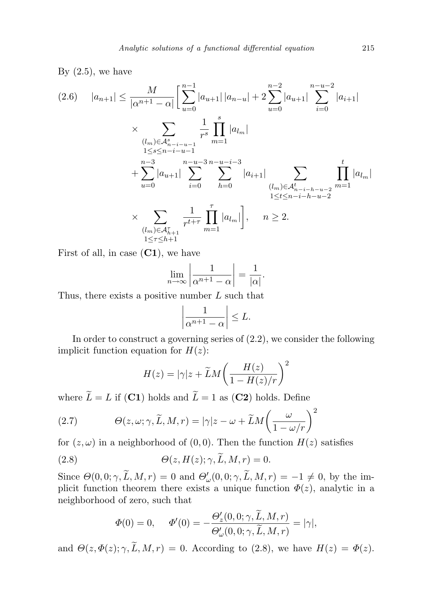By  $(2.5)$ , we have

$$
(2.6) \quad |a_{n+1}| \leq \frac{M}{|\alpha^{n+1} - \alpha|} \left[ \sum_{u=0}^{n-1} |a_{u+1}| |a_{n-u}| + 2 \sum_{u=0}^{n-2} |a_{u+1}| \sum_{i=0}^{n-u-2} |a_{i+1}| \right]
$$
  

$$
\times \sum_{\substack{(l_m) \in \mathcal{A}_{n-i-u-1}^s \\ 1 \leq s \leq n-i-u-1}} \frac{1}{r^s} \prod_{m=1}^s |a_{l_m}|
$$
  

$$
+ \sum_{u=0}^{n-3} |a_{u+1}| \sum_{i=0}^{n-u-3} \sum_{h=0}^{n-u-i-3} |a_{i+1}| \sum_{\substack{(l_m) \in \mathcal{A}_{n-i-h-u-2}^t \\ 1 \leq t \leq n-i-h-u-2}} \prod_{m=1}^t |a_{l_m}|
$$
  

$$
\times \sum_{\substack{(l_m) \in \mathcal{A}_{h+1}^{\tau} \\ 1 \leq r \leq h+1}} \frac{1}{r^{t+\tau}} \prod_{m=1}^{\tau} |a_{l_m}| , \quad n \geq 2.
$$

First of all, in case  $(C1)$ , we have

$$
\lim_{n \to \infty} \left| \frac{1}{\alpha^{n+1} - \alpha} \right| = \frac{1}{|\alpha|}.
$$

Thus, there exists a positive number  $L$  such that

$$
\left|\frac{1}{\alpha^{n+1}-\alpha}\right| \leq L.
$$

In order to construct a governing series of (2.2), we consider the following implicit function equation for  $H(z)$ :

$$
H(z) = |\gamma|z + \widetilde{L}M\left(\frac{H(z)}{1 - H(z)/r}\right)^2
$$

where  $\widetilde{L}=L$  if (C1) holds and  $\widetilde{L}=1$  as (C2) holds. Define

(2.7) 
$$
\Theta(z,\omega;\gamma,\widetilde{L},M,r) = |\gamma|z - \omega + \widetilde{L}M\left(\frac{\omega}{1 - \omega/r}\right)^2
$$

for  $(z, \omega)$  in a neighborhood of  $(0, 0)$ . Then the function  $H(z)$  satisfies

(2.8) 
$$
\Theta(z, H(z); \gamma, \widetilde{L}, M, r) = 0.
$$

Since  $\Theta(0,0;\gamma,\tilde{L},M,r) = 0$  and  $\Theta'_{\omega}(0,0;\gamma,\tilde{L},M,r) = -1 \neq 0$ , by the implicit function theorem there exists a unique function  $\Phi(z)$ , analytic in a neighborhood of zero, such that

$$
\Phi(0) = 0, \quad \Phi'(0) = -\frac{\Theta'_z(0,0;\gamma,\widetilde{L},M,r)}{\Theta'_\omega(0,0;\gamma,\widetilde{L},M,r)} = |\gamma|,
$$

and  $\Theta(z, \Phi(z); \gamma, \widetilde{L}, M, r) = 0$ . According to (2.8), we have  $H(z) = \Phi(z)$ .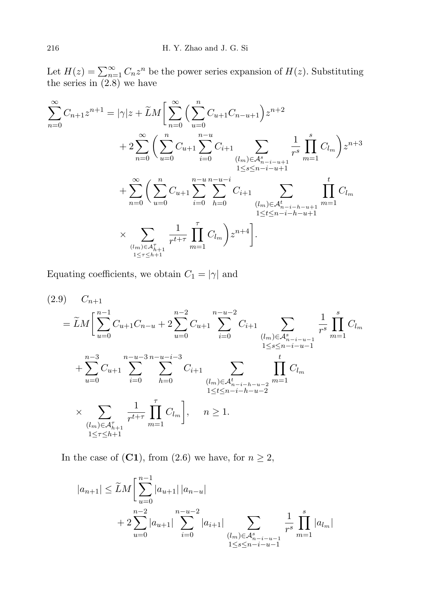Let  $H(z) = \sum_{n=1}^{\infty} C_n z^n$  be the power series expansion of  $H(z)$ . Substituting the series in (2.8) we have

$$
\sum_{n=0}^{\infty} C_{n+1} z^{n+1} = |\gamma| z + \widetilde{L}M \Big[ \sum_{n=0}^{\infty} \Big( \sum_{u=0}^{n} C_{u+1} C_{n-u+1} \Big) z^{n+2} + 2 \sum_{n=0}^{\infty} \Big( \sum_{u=0}^{n} C_{u+1} \sum_{i=0}^{n-u} C_{i+1} \sum_{\substack{(l_m) \in \mathcal{A}_{n-i-u+1}^s \\ 1 \le s \le n-i-u+1}} \frac{1}{r^s} \prod_{m=1}^s C_{l_m} \Big) z^{n+3} + \sum_{n=0}^{\infty} \Big( \sum_{u=0}^n C_{u+1} \sum_{i=0}^{n-u} \sum_{h=0}^{n-u-1} C_{i+1} \sum_{\substack{(l_m) \in \mathcal{A}_{n-i-h-u+1}^t \\ 1 \le t \le n-i-h-u+1}} \frac{t}{m-1} C_{l_m} \Big] z^{n+4} \Big].
$$

Equating coefficients, we obtain  $C_1 = |\gamma|$  and

$$
(2.9) \quad C_{n+1} \\
= \widetilde{L}M \Biggl[ \sum_{u=0}^{n-1} C_{u+1} C_{n-u} + 2 \sum_{u=0}^{n-2} C_{u+1} \sum_{i=0}^{n-u-2} C_{i+1} \sum_{(l_m) \in \mathcal{A}_{n-i-u-1}^s} \frac{1}{r^s} \prod_{m=1}^s C_{l_m} \\
+ \sum_{u=0}^{n-3} C_{u+1} \sum_{i=0}^{n-u-3} \sum_{h=0}^{n-u-i-3} C_{i+1} \sum_{\substack{(l_m) \in \mathcal{A}_{n-i-h-u-2}^t \\ 1 \le t \le n-i-h-u-2}} \prod_{m=1}^t C_{l_m} \\
\times \sum_{\substack{(l_m) \in \mathcal{A}_{n+1}^r \\ 1 \le r \le h+1}} \frac{1}{r^{t+\tau}} \prod_{m=1}^r C_{l_m} \Biggr], \quad n \ge 1.
$$

In the case of (C1), from (2.6) we have, for  $n \geq 2$ ,

$$
|a_{n+1}| \leq \widetilde{L}M \left[ \sum_{u=0}^{n-1} |a_{u+1}| \, |a_{n-u}| \right. \\ \left. + 2 \sum_{u=0}^{n-2} |a_{u+1}| \sum_{i=0}^{n-u-2} |a_{i+1}| \sum_{\substack{(lm) \in \mathcal{A}_{n-i-u-1}^s \\ 1 \leq s \leq n-i-u-1}} \frac{1}{r^s} \prod_{m=1}^s |a_{lm}|
$$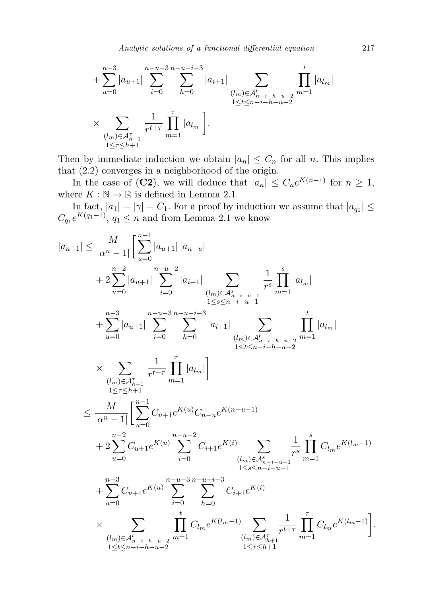$$
+\sum_{u=0}^{n-3} |a_{u+1}| \sum_{i=0}^{n-u-3} \sum_{h=0}^{n-u-i-3} |a_{i+1}| \sum_{\substack{(l_m) \in \mathcal{A}_{n-i-h-u-2}^t \ m=1}} \prod_{m=1}^t |a_{l_m}|
$$
  

$$
\times \sum_{\substack{(l_m) \in \mathcal{A}_{h+1}^{\tau} \ m=1}} \frac{1}{r^{t+\tau}} \prod_{m=1}^{\tau} |a_{l_m}|.
$$

Then by immediate induction we obtain  $|a_n| \leq C_n$  for all n. This implies that (2.2) converges in a neighborhood of the origin.

In the case of (C2), we will deduce that  $|a_n| \leq C_n e^{K(n-1)}$  for  $n \geq 1$ , where  $K : \mathbb{N} \to \mathbb{R}$  is defined in Lemma 2.1.

In fact,  $|a_1| = |\gamma| = C_1$ . For a proof by induction we assume that  $|a_{q_1}| \leq$  $C_{q_1}e^{K(q_1-1)}$ ,  $q_1 \leq n$  and from Lemma 2.1 we know

$$
|a_{n+1}| \leq \frac{M}{|\alpha^n - 1|} \left[ \sum_{u=0}^{n-1} |a_{u+1}| |a_{n-u}| \right.
$$
  
\n
$$
+ 2 \sum_{u=0}^{n-2} |a_{u+1}| \sum_{i=0}^{n-u-2} |a_{i+1}| \sum_{\substack{(l_m) \in \mathcal{A}_{n-i-u-1}^s \\ l \leq s \leq n-i-u-1}} \frac{1}{r^s} \prod_{m=1}^s |a_{l_m}|
$$
  
\n
$$
+ \sum_{u=0}^{n-3} |a_{u+1}| \sum_{i=0}^{n-u-3} \sum_{h=0}^{n-u-i-3} |a_{i+1}| \sum_{\substack{(l_m) \in \mathcal{A}_{n-i-h-u-2}^t \\ l \leq t \leq n-i-h-u-2}} \prod_{\substack{l \in \mathcal{L}_{n-i-h-u-2} \\ l \leq r \leq h+1}} \frac{1}{r^{l+\tau}} \prod_{m=1}^r |a_{l_m}|
$$
  
\n
$$
\times \sum_{\substack{(l_m) \in \mathcal{A}_{h+1}^s \\ l \leq r \leq h+1}} \frac{1}{r^{l+\tau}} \prod_{m=1}^r |a_{l_m}|
$$
  
\n
$$
+ 2 \sum_{u=0}^M C_{u+1} e^{K(u)} C_{n-u} e^{K(n-u-1)}
$$
  
\n
$$
+ 2 \sum_{u=0}^{n-2} C_{u+1} e^{K(u)} \sum_{i=0}^{n-u-2} C_{i+1} e^{K(i)} \sum_{\substack{l \leq s \leq n-i-u-1 \\ l \leq s \leq n-i-u-1}} \frac{1}{r^s} \prod_{m=1}^s C_{l_m} e^{K(l_m-1)}
$$
  
\n
$$
+ \sum_{u=0}^{n-3} C_{u+1} e^{K(u)} \sum_{i=0}^{n-u-3} \sum_{h=0}^{n-u-i-3} C_{i+1} e^{K(i)}
$$
  
\n
$$
\times \sum_{\substack{(l_m) \in \mathcal{A}_{h+1}^s = h-u-2 \\ l \leq t \leq n-i-h-u-2}} \prod_{l \leq r \leq h+1}^r C_{l_m} e^{K(l_m-1)} \sum_{l \leq
$$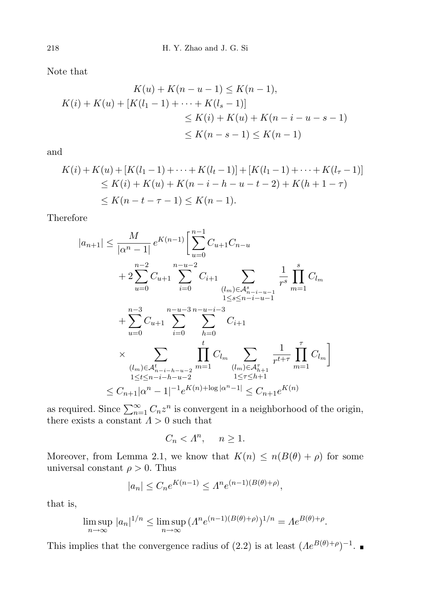Note that

$$
K(u) + K(n - u - 1) \le K(n - 1),
$$
  
\n
$$
K(i) + K(u) + [K(l_1 - 1) + \dots + K(l_s - 1)]
$$
  
\n
$$
\le K(i) + K(u) + K(n - i - u - s - 1)
$$
  
\n
$$
\le K(n - s - 1) \le K(n - 1)
$$

and

$$
K(i) + K(u) + [K(l_1 - 1) + \dots + K(l_t - 1)] + [K(l_1 - 1) + \dots + K(l_\tau - 1)]
$$
  
\n
$$
\leq K(i) + K(u) + K(n - i - h - u - t - 2) + K(h + 1 - \tau)
$$
  
\n
$$
\leq K(n - t - \tau - 1) \leq K(n - 1).
$$

Therefore

$$
|a_{n+1}| \leq \frac{M}{|\alpha^n - 1|} e^{K(n-1)} \Biggl[ \sum_{u=0}^{n-1} C_{u+1} C_{n-u} + 2 \sum_{u=0}^{n-2} C_{u+1} \sum_{i=0}^{n-u-2} C_{i+1} \sum_{\substack{(l_m) \in \mathcal{A}_{n-i-u-1}^s \ n=1}} \frac{1}{r^s} \prod_{m=1}^s C_{l_m} + \sum_{u=0}^{n-3} C_{u+1} \sum_{i=0}^{n-u-3} \sum_{h=0}^{n-u-3} C_{i+1} \times \sum_{\substack{(l_m) \in \mathcal{A}_{n-i-u-2}^r \ n=1}} \prod_{m=1}^t C_{l_m} \sum_{\substack{(l_m) \in \mathcal{A}_{n+1}^r \ n=1}} \frac{1}{r^{t+\tau}} \prod_{m=1}^{\tau} C_{l_m} \Biggr] \times C_{n+1} |a^n - 1|^{-1} e^{K(n) + \log |a^n - 1|} \leq C_{n+1} e^{K(n)}
$$

as required. Since  $\sum_{n=1}^{\infty} C_n z^n$  is convergent in a neighborhood of the origin, there exists a constant  $\Lambda > 0$  such that

$$
C_n < \Lambda^n, \quad n \ge 1.
$$

Moreover, from Lemma 2.1, we know that  $K(n) \leq n(B(\theta) + \rho)$  for some universal constant  $\rho > 0$ . Thus

$$
|a_n| \le C_n e^{K(n-1)} \le \Lambda^n e^{(n-1)(B(\theta) + \rho)},
$$

that is,

$$
\limsup_{n \to \infty} |a_n|^{1/n} \le \limsup_{n \to \infty} (A^n e^{(n-1)(B(\theta) + \rho)})^{1/n} = Ae^{B(\theta) + \rho}.
$$

This implies that the convergence radius of (2.2) is at least  $(Ae^{B(\theta)+\rho})^{-1}$ .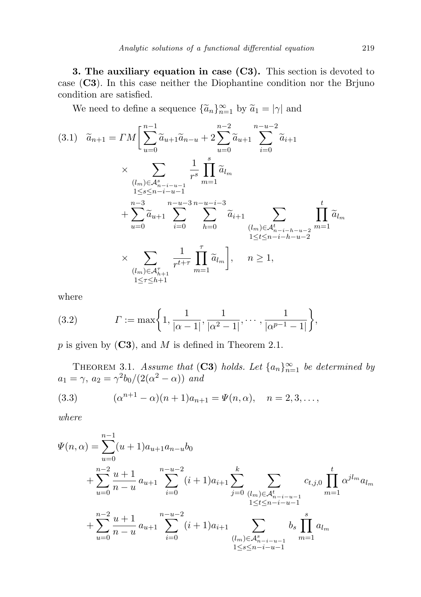3. The auxiliary equation in case (C3). This section is devoted to case (C3). In this case neither the Diophantine condition nor the Brjuno condition are satisfied.

We need to define a sequence  $\{\widetilde{a}_n\}_{n=1}^{\infty}$  by  $\widetilde{a}_1 = |\gamma|$  and

$$
(3.1) \quad \widetilde{a}_{n+1} = \Gamma M \left[ \sum_{u=0}^{n-1} \widetilde{a}_{u+1} \widetilde{a}_{n-u} + 2 \sum_{u=0}^{n-2} \widetilde{a}_{u+1} \sum_{i=0}^{n-u-2} \widetilde{a}_{i+1} \right. \\
\times \sum_{\substack{(l_m) \in \mathcal{A}_{n-i-u-1}^s \\ 1 \le s \le n-i-u-1}} \frac{1}{r^s} \prod_{m=1}^s \widetilde{a}_{l_m} \\
+ \sum_{u=0}^{n-3} \widetilde{a}_{u+1} \sum_{i=0}^{n-u-3} \sum_{h=0}^{n-u-i-3} \widetilde{a}_{i+1} \sum_{\substack{(l_m) \in \mathcal{A}_{n-i-h-u-2}^t \\ 1 \le t \le n-i-h-u-2}} \prod_{m=1}^t \widetilde{a}_{l_m} \\
\times \sum_{\substack{(l_m) \in \mathcal{A}_{n+1}^{\tau} \\ 1 \le r \le h+1}} \frac{1}{r^{t+\tau}} \prod_{m=1}^r \widetilde{a}_{l_m} \right], \quad n \ge 1,
$$

where

(3.2) 
$$
\Gamma := \max\bigg\{1, \frac{1}{|\alpha - 1|}, \frac{1}{|\alpha^2 - 1|}, \cdots, \frac{1}{|\alpha^{p-1} - 1|}\bigg\},\,
$$

 $p$  is given by  $(C3)$ , and  $M$  is defined in Theorem 2.1.

THEOREM 3.1. Assume that (C3) holds. Let  $\{a_n\}_{n=1}^{\infty}$  be determined by  $a_1 = \gamma$ ,  $a_2 = \gamma^2 b_0/(2(\alpha^2 - \alpha))$  and

(3.3) 
$$
(\alpha^{n+1} - \alpha)(n+1)a_{n+1} = \Psi(n, \alpha), \quad n = 2, 3, \dots,
$$

where

$$
\Psi(n,\alpha) = \sum_{u=0}^{n-1} (u+1)a_{u+1}a_{n-u}b_0
$$
  
+ 
$$
\sum_{u=0}^{n-2} \frac{u+1}{n-u} a_{u+1} \sum_{i=0}^{n-u-2} (i+1)a_{i+1} \sum_{j=0}^{k} \sum_{\substack{(l_m) \in \mathcal{A}_{n-i-u-1}^t \ (l_m) \leq \dots \leq n-i-u-1}} c_{t,j,0} \prod_{m=1}^t \alpha^{j l_m} a_{l_m}
$$
  
+ 
$$
\sum_{u=0}^{n-2} \frac{u+1}{n-u} a_{u+1} \sum_{i=0}^{n-u-2} (i+1)a_{i+1} \sum_{\substack{(l_m) \in \mathcal{A}_{n-i-u-1}^s \ (l_m) \leq \dots \leq n-i-u-1}} b_s \prod_{m=1}^s a_{l_m}
$$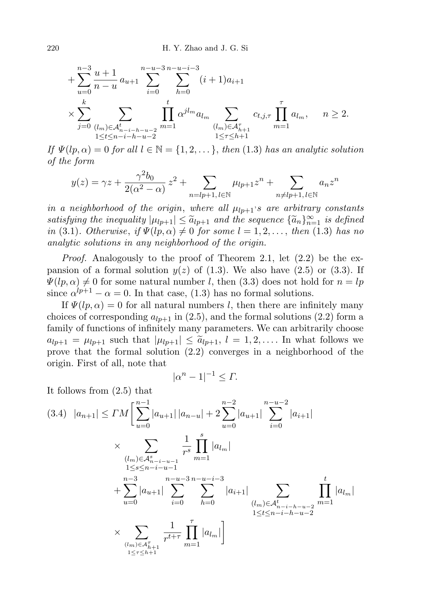$$
+\sum_{u=0}^{n-3} \frac{u+1}{n-u} a_{u+1} \sum_{i=0}^{n-u-3} \sum_{h=0}^{n-u-i-3} (i+1)a_{i+1}
$$
  

$$
\times \sum_{j=0}^{k} \sum_{\substack{(l_m) \in \mathcal{A}_{n-i-h-u-2}^t \\ 1 \le t \le n-i-h-u-2}} \prod_{m=1}^t \alpha^{jl_m} a_{l_m} \sum_{\substack{(l_m) \in \mathcal{A}_{h+1}^{\tau} \\ 1 \le \tau \le h+1}} c_{t,j,\tau} \prod_{m=1}^{\tau} a_{l_m}, \quad n \ge 2.
$$

If  $\Psi(lp, \alpha) = 0$  for all  $l \in \mathbb{N} = \{1, 2, \dots\}$ , then (1.3) has an analytic solution of the form

$$
y(z) = \gamma z + \frac{\gamma^2 b_0}{2(\alpha^2 - \alpha)} z^2 + \sum_{n = lp+1, l \in \mathbb{N}} \mu_{lp+1} z^n + \sum_{n \neq lp+1, l \in \mathbb{N}} a_n z^n
$$

in a neighborhood of the origin, where all  $\mu_{lp+1}$ 's are arbitrary constants satisfying the inequality  $|\mu_{lp+1}| \leq \tilde{a}_{lp+1}$  and the sequence  $\{\tilde{a}_n\}_{n=1}^{\infty}$  is defined<br>in (3.1) Otherwise, if  $W(ln, \alpha) \neq 0$  for some  $l = 1, 2$  then (1.3) has no in (3.1). Otherwise, if  $\Psi(lp,\alpha) \neq 0$  for some  $l = 1, 2, \ldots$ , then (1.3) has no analytic solutions in any neighborhood of the origin.

Proof. Analogously to the proof of Theorem 2.1, let (2.2) be the expansion of a formal solution  $y(z)$  of (1.3). We also have (2.5) or (3.3). If  $\Psi(lp,\alpha) \neq 0$  for some natural number l, then (3.3) does not hold for  $n = lp$ since  $\alpha^{lp+1} - \alpha = 0$ . In that case, (1.3) has no formal solutions.

If  $\Psi(lp,\alpha) = 0$  for all natural numbers l, then there are infinitely many choices of corresponding  $a_{lp+1}$  in (2.5), and the formal solutions (2.2) form a family of functions of infinitely many parameters. We can arbitrarily choose  $a_{lp+1} = \mu_{lp+1}$  such that  $|\mu_{lp+1}| \leq \tilde{a}_{lp+1}, l = 1, 2, \ldots$  In what follows we prove that the formal solution (2.2) converges in a neighborhood of the origin. First of all, note that

$$
|\alpha^n - 1|^{-1} \le \Gamma.
$$

It follows from (2.5) that

$$
(3.4) |a_{n+1}| \leq CM \left[ \sum_{u=0}^{n-1} |a_{u+1}| |a_{n-u}| + 2 \sum_{u=0}^{n-2} |a_{u+1}| \sum_{i=0}^{n-u-2} |a_{i+1}| \right]
$$
  
\n
$$
\times \sum_{\substack{(lm) \in \mathcal{A}_{n-i-u-1}^s \ 1 \leq s \leq n-i-u-1}} \frac{1}{r^s} \prod_{m=1}^s |a_{l_m}|
$$
  
\n
$$
+ \sum_{u=0}^{n-3} |a_{u+1}| \sum_{i=0}^{n-u-3} \sum_{h=0}^{n-u-i-3} |a_{i+1}| \sum_{\substack{(lm) \in \mathcal{A}_{n-i-h-u-2}^t \ 1 \leq t \leq n-i-h-u-2}} \prod_{1 \leq t \leq n-i-h-u-2}^{t} |a_{l_m}|
$$
  
\n
$$
\times \sum_{\substack{(lm) \in \mathcal{A}_{h+1}^r \ n=1}} \frac{1}{r^{t+\tau}} \prod_{m=1}^r |a_{l_m}|
$$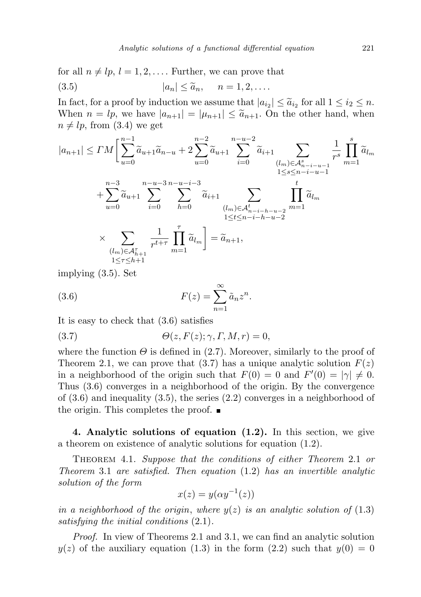for all  $n \neq lp$ ,  $l = 1, 2, \ldots$ . Further, we can prove that

$$
(3.5) \t |a_n| \leq \widetilde{a}_n, \t n = 1, 2, ....
$$

In fact, for a proof by induction we assume that  $|a_{i2}| \leq \tilde{a}_{i2}$  for all  $1 \leq i_2 \leq n$ .<br>When  $n = ln$  we have  $|a_{i2}| = |a_{i1}| \leq \tilde{a}_{i2}$ . On the other hand, when When  $n = lp$ , we have  $|a_{n+1}| = |\mu_{n+1}| \leq \tilde{a}_{n+1}$ . On the other hand, when  $n \neq lp$ , from (3.4) we get

$$
|a_{n+1}| \leq TM \Big[ \sum_{u=0}^{n-1} \tilde{a}_{u+1} \tilde{a}_{n-u} + 2 \sum_{u=0}^{n-2} \tilde{a}_{u+1} \sum_{i=0}^{n-u-2} \tilde{a}_{i+1} \sum_{\substack{(l_m) \in \mathcal{A}_{n-i-u-1}^s \\ 1 \leq s \leq n-i-u-1}} \frac{1}{r^s} \prod_{m=1}^s \tilde{a}_{l_m} + \sum_{u=0}^{n-3} \tilde{a}_{u+1} \sum_{i=0}^{n-u-3} \sum_{\substack{(l_m) \in \mathcal{A}_{n-i-h-u-2}^t \\ 1 \leq t \leq n-i-h-u-2}} \prod_{\substack{l=1 \leq i \leq n-i-h-u-2 \\ 1 \leq t \leq n-i-h-u-2}} \prod_{1 \leq t \leq n-i-h-u-2}^t \tilde{a}_{l_m}
$$
  

$$
\times \sum_{\substack{(l_m) \in \mathcal{A}_{h+1}^{\tau} \\ 1 \leq r \leq h+1}} \frac{1}{r^{t+\tau}} \prod_{m=1}^r \tilde{a}_{l_m} = \tilde{a}_{n+1},
$$

implying (3.5). Set

(3.6) 
$$
F(z) = \sum_{n=1}^{\infty} \tilde{a}_n z^n.
$$

It is easy to check that (3.6) satisfies

(3.7) 
$$
\Theta(z, F(z); \gamma, \Gamma, M, r) = 0,
$$

where the function  $\Theta$  is defined in (2.7). Moreover, similarly to the proof of Theorem 2.1, we can prove that (3.7) has a unique analytic solution  $F(z)$ in a neighborhood of the origin such that  $F(0) = 0$  and  $F'(0) = |\gamma| \neq 0$ . Thus (3.6) converges in a neighborhood of the origin. By the convergence of  $(3.6)$  and inequality  $(3.5)$ , the series  $(2.2)$  converges in a neighborhood of the origin. This completes the proof.  $\blacksquare$ 

4. Analytic solutions of equation (1.2). In this section, we give a theorem on existence of analytic solutions for equation (1.2).

Theorem 4.1. Suppose that the conditions of either Theorem 2.1 or Theorem 3.1 are satisfied. Then equation (1.2) has an invertible analytic solution of the form

$$
x(z) = y(\alpha y^{-1}(z))
$$

in a neighborhood of the origin, where  $y(z)$  is an analytic solution of  $(1.3)$ satisfying the initial conditions (2.1).

Proof. In view of Theorems 2.1 and 3.1, we can find an analytic solution  $y(z)$  of the auxiliary equation (1.3) in the form (2.2) such that  $y(0) = 0$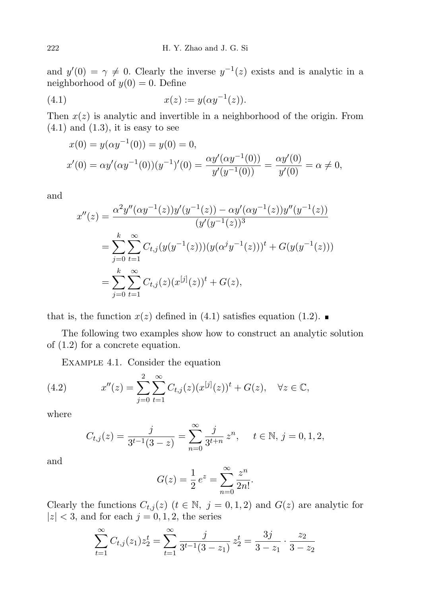and  $y'(0) = \gamma \neq 0$ . Clearly the inverse  $y^{-1}(z)$  exists and is analytic in a neighborhood of  $y(0) = 0$ . Define

(4.1) 
$$
x(z) := y(\alpha y^{-1}(z)).
$$

Then  $x(z)$  is analytic and invertible in a neighborhood of the origin. From  $(4.1)$  and  $(1.3)$ , it is easy to see

$$
x(0) = y(\alpha y^{-1}(0)) = y(0) = 0,
$$
  
\n
$$
x'(0) = \alpha y'(\alpha y^{-1}(0))(y^{-1})'(0) = \frac{\alpha y'(\alpha y^{-1}(0))}{y'(y^{-1}(0))} = \frac{\alpha y'(0)}{y'(0)} = \alpha \neq 0,
$$

and

$$
x''(z) = \frac{\alpha^2 y''(\alpha y^{-1}(z))y'(y^{-1}(z)) - \alpha y'(\alpha y^{-1}(z))y''(y^{-1}(z))}{(y'(y^{-1}(z))^3}
$$
  
= 
$$
\sum_{j=0}^k \sum_{t=1}^\infty C_{t,j}(y(y^{-1}(z)))(y(\alpha^j y^{-1}(z)))^t + G(y(y^{-1}(z)))
$$
  
= 
$$
\sum_{j=0}^k \sum_{t=1}^\infty C_{t,j}(z)(x^{[j]}(z))^t + G(z),
$$

that is, the function  $x(z)$  defined in (4.1) satisfies equation (1.2).

The following two examples show how to construct an analytic solution of (1.2) for a concrete equation.

Example 4.1. Consider the equation

(4.2) 
$$
x''(z) = \sum_{j=0}^{2} \sum_{t=1}^{\infty} C_{t,j}(z) (x^{[j]}(z))^t + G(z), \quad \forall z \in \mathbb{C},
$$

where

$$
C_{t,j}(z) = \frac{j}{3^{t-1}(3-z)} = \sum_{n=0}^{\infty} \frac{j}{3^{t+n}} z^n, \quad t \in \mathbb{N}, j = 0, 1, 2,
$$

and

$$
G(z) = \frac{1}{2} e^{z} = \sum_{n=0}^{\infty} \frac{z^{n}}{2n!}.
$$

Clearly the functions  $C_{t,j}(z)$   $(t \in \mathbb{N}, j = 0,1,2)$  and  $G(z)$  are analytic for  $|z| < 3$ , and for each  $j = 0, 1, 2$ , the series

$$
\sum_{t=1}^{\infty} C_{t,j}(z_1) z_2^t = \sum_{t=1}^{\infty} \frac{j}{3^{t-1}(3-z_1)} z_2^t = \frac{3j}{3-z_1} \cdot \frac{z_2}{3-z_2}
$$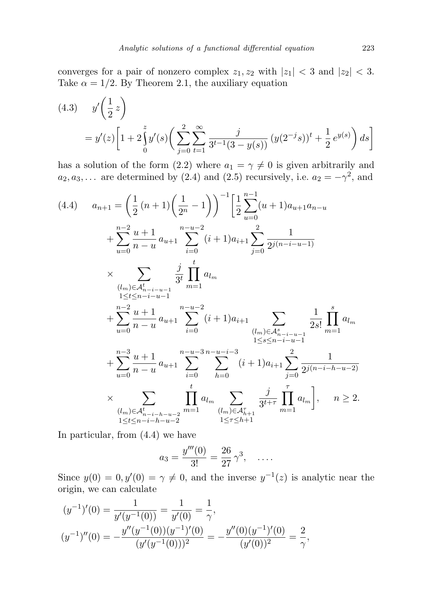converges for a pair of nonzero complex  $z_1, z_2$  with  $|z_1| < 3$  and  $|z_2| < 3$ . Take  $\alpha = 1/2$ . By Theorem 2.1, the auxiliary equation

(4.3) 
$$
y'(\frac{1}{2}z) = y'(z)\left[1 + 2\int_0^z y'(s)\left(\sum_{j=0}^2 \sum_{t=1}^\infty \frac{j}{3^{t-1}(3-y(s))}(y(2^{-j}s))^t + \frac{1}{2}e^{y(s)}\right)ds\right]
$$

has a solution of the form (2.2) where  $a_1 = \gamma \neq 0$  is given arbitrarily and  $a_2, a_3, \ldots$  are determined by (2.4) and (2.5) recursively, i.e.  $a_2 = -\gamma^2$ , and

$$
(4.4) \t a_{n+1} = \left(\frac{1}{2}(n+1)\left(\frac{1}{2^{n}}-1\right)\right)^{-1} \left[\frac{1}{2}\sum_{u=0}^{n-1}(u+1)a_{u+1}a_{n-u}\right] + \sum_{u=0}^{n-2}\frac{u+1}{n-u}a_{u+1} \sum_{i=0}^{n-u-2} (i+1)a_{i+1} \sum_{j=0}^{2} \frac{1}{2^{j(n-i-u-1)}} \times \sum_{\substack{(l_m)\in\mathcal{A}_{n-i-u-1}^{\star} \\ 1 \leq t \leq n-i-u-1}} \frac{j}{3^t} \prod_{m=1}^t a_{l_m} + \sum_{u=0}^{n-2} \frac{u+1}{n-u}a_{u+1} \sum_{i=0}^{n-u-2} (i+1)a_{i+1} \sum_{\substack{(l_m)\in\mathcal{A}_{n-i-u-1}^{\star} \\ 1 \leq s \leq n-i-u-1}} \frac{1}{2s!} \prod_{m=1}^s a_{l_m} + \sum_{u=0}^{n-3} \frac{u+1}{n-u}a_{u+1} \sum_{i=0}^{n-u-3} \sum_{h=0}^{n-u-i-3} (i+1)a_{i+1} \sum_{j=0}^{2} \frac{1}{2^{j(n-i-h-u-2)}} \times \sum_{\substack{(l_m)\in\mathcal{A}_{n-i-h-u-2}^{\star} \\ 1 \leq t \leq n-i-h-u-2}} \prod_{m=1}^{t} a_{l_m} \sum_{\substack{(l_m)\in\mathcal{A}_{n+1}^{\star} \\ 1 \leq r \leq h+1}} \frac{j}{3^{t+r}} \prod_{m=1}^{r} a_{l_m} \Big|, \quad n \geq 2.
$$

In particular, from (4.4) we have

$$
a_3 = \frac{y'''(0)}{3!} = \frac{26}{27} \gamma^3, \quad \dots
$$

Since  $y(0) = 0, y'(0) = \gamma \neq 0$ , and the inverse  $y^{-1}(z)$  is analytic near the origin, we can calculate

$$
(y^{-1})'(0) = \frac{1}{y'(y^{-1}(0))} = \frac{1}{y'(0)} = \frac{1}{\gamma},
$$
  

$$
(y^{-1})''(0) = -\frac{y''(y^{-1}(0))(y^{-1})'(0)}{(y'(y^{-1}(0)))^2} = -\frac{y''(0)(y^{-1})'(0)}{(y'(0))^2} = \frac{2}{\gamma},
$$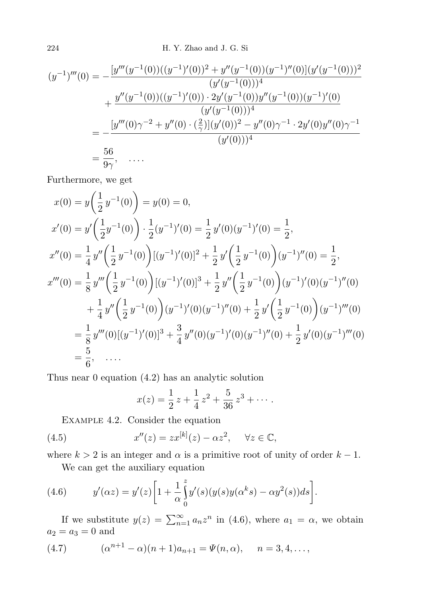224 H. Y. Zhao and J. G. Si

$$
(y^{-1})'''(0) = -\frac{[y'''(y^{-1}(0))((y^{-1})'(0))^2 + y''(y^{-1}(0))(y^{-1})''(0)](y'(y^{-1}(0)))^2}{(y'(y^{-1}(0)))^4}
$$
  
+ 
$$
\frac{y''(y^{-1}(0))((y^{-1})'(0)) \cdot 2y'(y^{-1}(0))y''(y^{-1}(0))(y^{-1})'(0)}{(y'(y^{-1}(0)))^4}
$$
  
= 
$$
-\frac{[y'''(0)\gamma^{-2} + y''(0) \cdot (\frac{2}{\gamma})](y'(0))^2 - y''(0)\gamma^{-1} \cdot 2y'(0)y''(0)\gamma^{-1}}{(y'(0)))^4}
$$
  
= 
$$
\frac{56}{9\gamma}, \quad \dots
$$

Furthermore, we get

$$
x(0) = y\left(\frac{1}{2}y^{-1}(0)\right) = y(0) = 0,
$$
  
\n
$$
x'(0) = y'\left(\frac{1}{2}y^{-1}(0)\right) \cdot \frac{1}{2}(y^{-1})'(0) = \frac{1}{2}y'(0)(y^{-1})'(0) = \frac{1}{2},
$$
  
\n
$$
x''(0) = \frac{1}{4}y''\left(\frac{1}{2}y^{-1}(0)\right)[(y^{-1})'(0)]^2 + \frac{1}{2}y'\left(\frac{1}{2}y^{-1}(0)\right)(y^{-1})''(0) = \frac{1}{2},
$$
  
\n
$$
x'''(0) = \frac{1}{8}y'''\left(\frac{1}{2}y^{-1}(0)\right)[(y^{-1})'(0)]^3 + \frac{1}{2}y''\left(\frac{1}{2}y^{-1}(0)\right)(y^{-1})'(0)(y^{-1})''(0) + \frac{1}{4}y''\left(\frac{1}{2}y^{-1}(0)\right)(y^{-1})''(0) = \frac{1}{8}y'''(0)[(y^{-1})'(0)]^3 + \frac{3}{4}y''(0)(y^{-1})'(0)(y^{-1})''(0) + \frac{1}{2}y'(0)(y^{-1})'''(0) = \frac{5}{6}, \dots
$$

Thus near 0 equation (4.2) has an analytic solution

$$
x(z) = \frac{1}{2}z + \frac{1}{4}z^2 + \frac{5}{36}z^3 + \cdots
$$

Example 4.2. Consider the equation

(4.5) 
$$
x''(z) = zx^{[k]}(z) - \alpha z^2, \quad \forall z \in \mathbb{C},
$$

where  $k > 2$  is an integer and  $\alpha$  is a primitive root of unity of order  $k - 1$ .

We can get the auxiliary equation

(4.6) 
$$
y'(\alpha z) = y'(z) \left[ 1 + \frac{1}{\alpha} \int_0^z y'(s) (y(s) y(\alpha^k s) - \alpha y^2(s)) ds \right].
$$

If we substitute  $y(z) = \sum_{n=1}^{\infty} a_n z^n$  in (4.6), where  $a_1 = \alpha$ , we obtain  $a_2 = a_3 = 0$  and

(4.7) 
$$
(\alpha^{n+1} - \alpha)(n+1)a_{n+1} = \Psi(n, \alpha), \quad n = 3, 4, \dots,
$$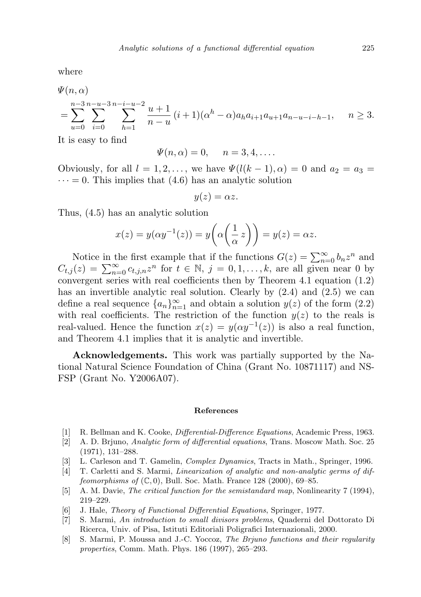where

$$
\Psi(n,\alpha) = \sum_{u=0}^{n-3} \sum_{i=0}^{n-u-3} \sum_{h=1}^{n-i-u-2} \frac{u+1}{n-u} (i+1) (\alpha^h - \alpha) a_h a_{i+1} a_{u+1} a_{n-u-i-h-1}, \quad n \ge 3.
$$

It is easy to find

$$
\Psi(n,\alpha) = 0, \quad n = 3, 4, \dots.
$$

Obviously, for all  $l = 1, 2, \ldots$ , we have  $\Psi(l(k-1), \alpha) = 0$  and  $a_2 = a_3 =$  $\cdots = 0$ . This implies that (4.6) has an analytic solution

$$
y(z) = \alpha z.
$$

Thus, (4.5) has an analytic solution

$$
x(z) = y(\alpha y^{-1}(z)) = y\left(\alpha \left(\frac{1}{\alpha} z\right)\right) = y(z) = \alpha z.
$$

Notice in the first example that if the functions  $G(z) = \sum_{n=0}^{\infty} b_n z^n$  and  $C_{t,j}(z) = \sum_{n=0}^{\infty} c_{t,j,n} z^n$  for  $t \in \mathbb{N}, j = 0,1,\ldots,k$ , are all given near 0 by convergent series with real coefficients then by Theorem 4.1 equation (1.2) has an invertible analytic real solution. Clearly by  $(2.4)$  and  $(2.5)$  we can define a real sequence  ${a_n}_{n=1}^{\infty}$  and obtain a solution  $y(z)$  of the form  $(2.2)$ with real coefficients. The restriction of the function  $y(z)$  to the reals is real-valued. Hence the function  $x(z) = y(\alpha y^{-1}(z))$  is also a real function, and Theorem 4.1 implies that it is analytic and invertible.

Acknowledgements. This work was partially supported by the National Natural Science Foundation of China (Grant No. 10871117) and NS-FSP (Grant No. Y2006A07).

## References

- [1] R. Bellman and K. Cooke, Differential-Difference Equations, Academic Press, 1963.
- [2] A. D. Brjuno, Analytic form of differential equations, Trans. Moscow Math. Soc. 25 (1971), 131–288.
- [3] L. Carleson and T. Gamelin, Complex Dynamics, Tracts in Math., Springer, 1996.
- [4] T. Carletti and S. Marmi, Linearization of analytic and non-analytic germs of diffeomorphisms of  $(\mathbb{C},0)$ , Bull. Soc. Math. France 128 (2000), 69–85.
- [5] A. M. Davie, The critical function for the semistandard map, Nonlinearity 7 (1994), 219–229.
- [6] J. Hale, Theory of Functional Differential Equations, Springer, 1977.
- [7] S. Marmi, An introduction to small divisors problems, Quaderni del Dottorato Di Ricerca, Univ. of Pisa, Istituti Editoriali Poligrafici Internazionali, 2000.
- [8] S. Marmi, P. Moussa and J.-C. Yoccoz, The Brjuno functions and their regularity properties, Comm. Math. Phys. 186 (1997), 265–293.